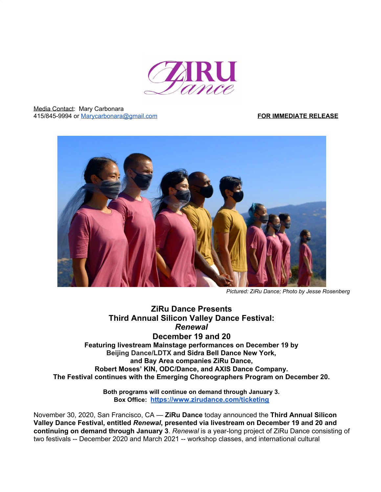

Media Contact: Mary Carbonara 415/845-9994 or [Marycarbonara@gmail.com](mailto:Marycarbonara@gmail.com) **FOR IMMEDIATE RELEASE**



*Pictured: ZiRu Dance; Photo by Jesse Rosenberg*

# **ZiRu Dance Presents Third Annual Silicon Valley Dance Festival:** *Renewal* **December 19 and 20 Featuring livestream Mainstage performances on December 19 by Beijing Dance/LDTX and Sidra Bell Dance New York, and Bay Area companies ZiRu Dance,**

**Robert Moses' KIN, ODC/Dance, and AXIS Dance Company. The Festival continues with the Emerging Choreographers Program on December 20.**

> **Both programs will continue on demand through January 3. Box Office: <https://www.zirudance.com/ticketing>**

November 30, 2020, San Francisco, CA — **ZiRu Dance** today announced the **Third Annual Silicon Valley Dance Festival, entitled** *Renewal***, presented via livestream on December 19 and 20 and continuing on demand through January 3**. *Renewal* is a year-long project of ZiRu Dance consisting of two festivals -- December 2020 and March 2021 -- workshop classes, and international cultural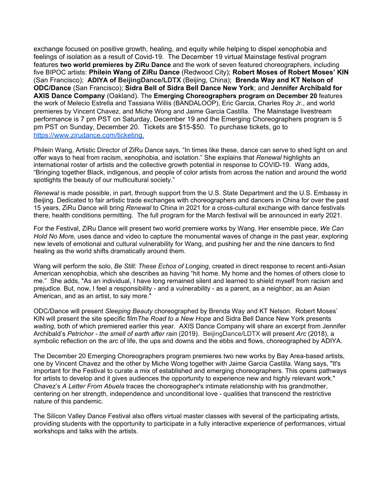exchange focused on positive growth, healing, and equity while helping to dispel xenophobia and feelings of isolation as a result of Covid-19. The December 19 virtual Mainstage festival program features **two world premieres by ZiRu Dance** and the work of seven featured choreographers, including five BIPOC artists: **Philein Wang of ZiRu Dance** (Redwood City); **Robert Moses of Robert Moses' KIN** (San Francisco); **ADIYA of BeijingDance/LDTX** (Beijing, China); **Brenda Way and KT Nelson of ODC/Dance** (San Francisco); **Sidra Bell of Sidra Bell Dance New York**; and **Jennifer Archibald for AXIS Dance Company** (Oakland). The **Emerging Choreographers program on December 20** features the work of Melecio Estrella and Tassiana Willis (BANDALOOP), Eric Garcia, Charles Roy Jr., and world premieres by Vincent Chavez, and Miche Wong and Jaime Garcia Castilla. The Mainstage livestream performance is 7 pm PST on Saturday, December 19 and the Emerging Choreographers program is 5 pm PST on Sunday, December 20. Tickets are \$15-\$50. To purchase tickets, go to [https://www.zirudance.com/ticketing.](https://www.zirudance.com/ticketing)

Philein Wang, Artistic Director of ZiRu Dance says, "In times like these, dance can serve to shed light on and offer ways to heal from racism, xenophobia, and isolation." She explains that *Renewal* highlights an international roster of artists and the collective growth potential in response to COVID-19. Wang adds, "Bringing together Black, indigenous, and people of color artists from across the nation and around the world spotlights the beauty of our multicultural society."

*Renewal* is made possible, in part, through support from the U.S. State Department and the U.S. Embassy in Beijing. Dedicated to fair artistic trade exchanges with choreographers and dancers in China for over the past 15 years, ZiRu Dance will bring *Renewal* to China in 2021 for a cross-cultural exchange with dance festivals there, health conditions permitting. The full program for the March festival will be announced in early 2021.

For the Festival, ZiRu Dance will present two world premiere works by Wang. Her ensemble piece, *We Can Hold No More,* uses dance and video to capture the monumental waves of change in the past year, exploring new levels of emotional and cultural vulnerability for Wang, and pushing her and the nine dancers to find healing as the world shifts dramatically around them.

Wang will perform the solo, *Be Still: These Echos of Longing*, created in direct response to recent anti-Asian American xenophobia, which she describes as having "hit home. My home and the homes of others close to me." She adds, "As an individual, I have long remained silent and learned to shield myself from racism and prejudice. But, now, I feel a responsibility - and a vulnerability - as a parent, as a neighbor, as an Asian American, and as an artist, to say more."

ODC/Dance will present *Sleeping Beauty* choreographed by Brenda Way and KT Nelson. Robert Moses' KIN will present the site specific film*The Road to a New Hope* and Sidra Bell Dance New York presents *waiting,* both of which premiered earlier this year. AXIS Dance Company will share an excerpt from Jennifer Archibald's *Petrichor - the smell of earth after rain* (2019).BeijingDance/LDTX will present *Arc* (2018), a symbolic reflection on the arc of life, the ups and downs and the ebbs and flows, choreographed by ADIYA.

The December 20 Emerging Choreographers program premieres two new works by Bay Area-based artists, one by Vincent Chavez and the other by Miche Wong together with Jaime Garcia Castilla. Wang says, "It's important for the Festival to curate a mix of established and emerging choreographers. This opens pathways for artists to develop and it gives audiences the opportunity to experience new and highly relevant work." Chavez's *A Letter From Abuela* traces the choreographer's intimate relationship with his grandmother, centering on her strength, independence and unconditional love - qualities that transcend the restrictive nature of this pandemic.

The Silicon Valley Dance Festival also offers virtual master classes with several of the participating artists, providing students with the opportunity to participate in a fully interactive experience of performances, virtual workshops and talks with the artists.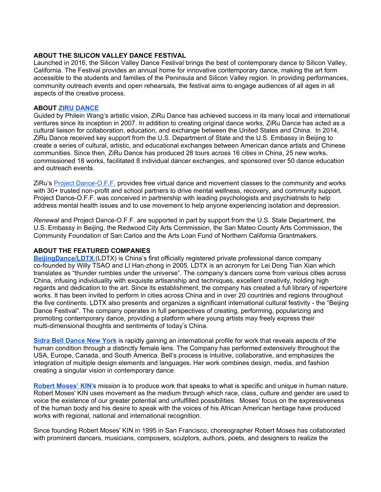#### **ABOUT THE SILICON VALLEY DANCE FESTIVAL**

Launched in 2016, the Silicon Valley Dance Festival brings the best of contemporary dance to Silicon Valley, California. The Festival provides an annual home for innovative contemporary dance, making the art form accessible to the students and families of the Peninsula and Silicon Valley region. In providing performances, community outreach events and open rehearsals, the festival aims to engage audiences of all ages in all aspects of the creative process.

#### **ABOUT [ZIRU DANCE](http://www.zirudance.com/)**

Guided by Philein Wang's artistic vision, ZiRu Dance has achieved success in its many local and international ventures since its inception in 2007. In addition to creating original dance works, ZiRu Dance has acted as a cultural liaison for collaboration, education, and exchange between the United States and China. In 2014, ZiRu Dance received key support from the U.S. Department of State and the U.S. Embassy in Beijing to create a series of cultural, artistic, and educational exchanges between American dance artists and Chinese communities. Since then, ZiRu Dance has produced 28 tours across 16 cities in China, 25 new works, commissioned 18 works, facilitated 8 individual dancer exchanges, and sponsored over 50 dance education and outreach events.

ZiRu's [Project Dance-O.F.F.](https://www.zirudance.com/project-dance-o-f-f) provides free virtual dance and movement classes to the community and works with 30+ trusted non-profit and school partners to drive mental wellness, recovery, and community support. Project Dance-O.F.F. was conceived in partnership with leading psychologists and psychiatrists to help address mental health issues and to use movement to help anyone experiencing isolation and depression.

*Renewal* and Project Dance-O.F.F. are supported in part by support from the U.S. State Department, the U.S. Embassy in Beijing, the Redwood City Arts Commission, the San Mateo County Arts Commission, the Community Foundation of San Carlos and the Arts Loan Fund of Northern California Grantmakers.

### **ABOUT THE FEATURED COMPANIES**

**[BeijingDance/LDTX](http://www.beijingldtx.com/En)** (LDTX) is China's first officially registered private professional dance company co-founded by Willy TSAO and LI Han-zhong in 2005. LDTX is an acronym for Lei Dong Tian Xian which translates as "thunder rumbles under the universe". The company's dancers come from various cities across China, infusing individuality with exquisite artisanship and techniques, excellent creativity, holding high regards and dedication to the art. Since its establishment, the company has created a full library of repertoire works. It has been invited to perform in cities across China and in over 20 countries and regions throughout the five continents. LDTX also presents and organizes a significant international cultural festivity - the "Beijing Dance Festival". The company operates in full perspectives of creating, performing, popularizing and promoting contemporary dance, providing a platform where young artists may freely express their multi-dimensional thoughts and sentiments of today's China.

**[Sidra Bell Dance New York](https://www.sidrabelldanceny.org/)** is rapidly gaining an international profile for work that reveals aspects of the human condition through a distinctly female lens. The Company has performed extensively throughout the USA, Europe, Canada, and South America. Bell's process is intuitive, collaborative, and emphasizes the integration of multiple design elements and languages. Her work combines design, media, and fashion creating a singular vision in contemporary dance.

**[Robert Moses' KIN](https://www.robertmoseskin.org/)**['](https://www.robertmoseskin.org/)s mission is to produce work that speaks to what is specific and unique in human nature. Robert Moses' KIN uses movement as the medium through which race, class, culture and gender are used to voice the existence of our greater potential and unfulfilled possibilities. Moses' focus on the expressiveness of the human body and his desire to speak with the voices of his African American heritage have produced works with regional, national and international recognition.

Since founding Robert Moses' KIN in 1995 in San Francisco, choreographer Robert Moses has collaborated with prominent dancers, musicians, composers, sculptors, authors, poets, and designers to realize the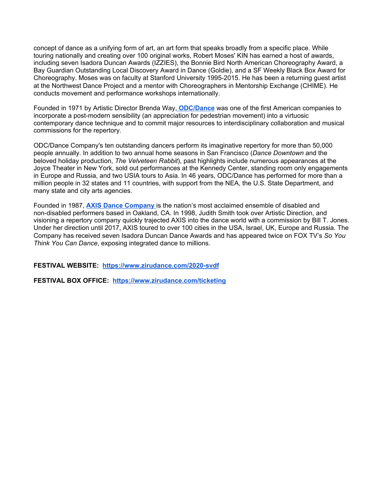concept of dance as a unifying form of art, an art form that speaks broadly from a specific place. While touring nationally and creating over 100 original works, Robert Moses' KIN has earned a host of awards, including seven Isadora Duncan Awards (IZZIES), the Bonnie Bird North American Choreography Award, a Bay Guardian Outstanding Local Discovery Award in Dance (Goldie), and a SF Weekly Black Box Award for Choreography. Moses was on faculty at Stanford University 1995-2015. He has been a returning guest artist at the Northwest Dance Project and a mentor with Choreographers in Mentorship Exchange (CHIME). He conducts movement and performance workshops internationally.

Founded in 1971 by Artistic Director Brenda Way[,](https://odc.dance/) **[ODC/Dance](https://odc.dance/)** was one of the first American companies to incorporate a post-modern sensibility (an appreciation for pedestrian movement) into a virtuosic contemporary dance technique and to commit major resources to interdisciplinary collaboration and musical commissions for the repertory.

ODC/Dance Company's ten outstanding dancers perform its imaginative repertory for more than 50,000 people annually. In addition to two annual home seasons in San Francisco (*Dance Downtown* and the beloved holiday production, *The Velveteen Rabbit*), past highlights include numerous appearances at the Joyce Theater in New York, sold out performances at the Kennedy Center, standing room only engagements in Europe and Russia, and two USIA tours to Asia. In 46 years, ODC/Dance has performed for more than a million people in 32 states and 11 countries, with support from the NEA, the U.S. State Department, and many state and city arts agencies.

Founded in 1987, **[AXIS Dance Company](https://www.axisdance.org/)** is the nation's most acclaimed ensemble of disabled and non-disabled performers based in Oakland, CA. In 1998, Judith Smith took over Artistic Direction, and visioning a repertory company quickly trajected AXIS into the dance world with a commission by Bill T. Jones. Under her direction until 2017, AXIS toured to over 100 cities in the USA, Israel, UK, Europe and Russia. The Company has received seven Isadora Duncan Dance Awards and has appeared twice on FOX TV's *So You Think You Can Dance*, exposing integrated dance to millions.

**FESTIVAL WEBSITE: <https://www.zirudance.com/2020-svdf>**

**FESTIVAL BOX OFFICE: <https://www.zirudance.com/ticketing>**